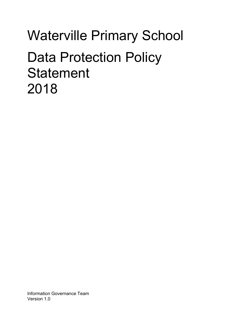# Waterville Primary School Data Protection Policy **Statement** 2018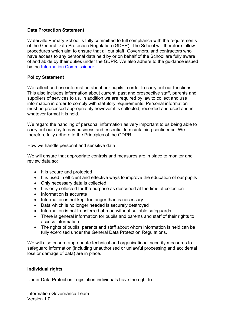#### Data Protection Statement

Waterville Primary School is fully committed to full compliance with the requirements of the General Data Protection Regulation (GDPR). The School will therefore follow procedures which aim to ensure that all our staff, Governors, and contractors who have access to any personal data held by or on behalf of the School are fully aware of and abide by their duties under the GDPR. We also adhere to the guidance issued by the Information Commissioner.

### Policy Statement

We collect and use information about our pupils in order to carry out our functions. This also includes information about current, past and prospective staff, parents and suppliers of services to us. In addition we are required by law to collect and use information in order to comply with statutory requirements. Personal information must be processed appropriately however it is collected, recorded and used and in whatever format it is held.

We regard the handling of personal information as very important to us being able to carry out our day to day business and essential to maintaining confidence. We therefore fully adhere to the Principles of the GDPR.

How we handle personal and sensitive data

We will ensure that appropriate controls and measures are in place to monitor and review data so:

- It is secure and protected
- It is used in efficient and effective ways to improve the education of our pupils
- Only necessary data is collected
- It is only collected for the purpose as described at the time of collection
- Information is accurate
- Information is not kept for longer than is necessary
- Data which is no longer needed is securely destroyed
- Information is not transferred abroad without suitable safeguards
- There is general information for pupils and parents and staff of their rights to access information
- The rights of pupils, parents and staff about whom information is held can be fully exercised under the General Data Protection Regulations.

We will also ensure appropriate technical and organisational security measures to safeguard information (including unauthorised or unlawful processing and accidental loss or damage of data) are in place.

#### Individual rights

Under Data Protection Legislation individuals have the right to:

Information Governance Team Version 1.0